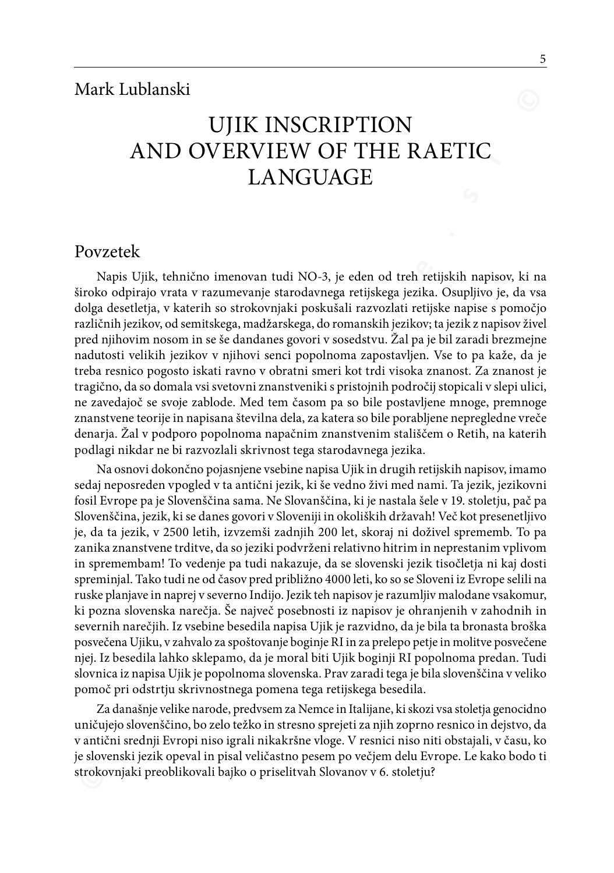# UJIK INSCRIPTION AND OVERVIEW OF THE RAETIC LANGUAGE

### Povzetek

Napis Ujik, tehnično imenovan tudi NO-3, je eden od treh retijskih napisov, ki na široko odpirajo vrata v razumevanje starodavnega retijskega jezika. Osupljivo je, da vsa dolga desetletja, v katerih so strokovnjaki poskušali razvozlati retijske napise s pomočjo različnih jezikov, od semitskega, madžarskega, do romanskih jezikov; ta jezik z napisov živel pred njihovim nosom in se še dandanes govori v sosedstvu. Žal pa je bil zaradi brezmejne nadutosti velikih jezikov v njihovi senci popolnoma zapostavljen. Vse to pa kaže, da je treba resnico pogosto iskati ravno v obratni smeri kot trdi visoka znanost. Za znanost je tragično, da so domala vsi svetovni znanstveniki s pristojnih področij stopicali v slepi ulici, ne zavedajoč se svoje zablode. Med tem časom pa so bile postavljene mnoge, premnoge znanstvene teorije in napisana številna dela, za katera so bile porabljene nepregledne vreče denarja. Žal v podporo popolnoma napačnim znanstvenim stališčem o Retih, na katerih podlagi nikdar ne bi razvozlali skrivnost tega starodavnega jezika.

**© w w w . k o r e n i n e . s i ©** Na osnovi dokončno pojasnjene vsebine napisa Ujik in drugih retijskih napisov, imamo sedaj neposreden vpogled v ta antični jezik, ki še vedno živi med nami. Ta jezik, jezikovni fosil Evrope pa je Slovenščina sama. Ne Slovanščina, ki je nastala šele v 19. stoletju, pač pa Slovenščina, jezik, ki se danes govori v Sloveniji in okoliških državah! Več kot presenetljivo je, da ta jezik, v 2500 letih, izvzemši zadnjih 200 let, skoraj ni doživel sprememb. To pa zanika znanstvene trditve, da so jeziki podvrženi relativno hitrim in neprestanim vplivom in spremembam! To vedenje pa tudi nakazuje, da se slovenski jezik tisočletja ni kaj dosti spreminjal. Tako tudi ne od časov pred približno 4000 leti, ko so se Sloveni iz Evrope selili na ruske planjave in naprej v severno Indijo. Jezik teh napisov je razumljiv malodane vsakomur, ki pozna slovenska narečja. Še največ posebnosti iz napisov je ohranjenih v zahodnih in severnih narečjih. Iz vsebine besedila napisa Ujik je razvidno, da je bila ta bronasta broška posvečena Ujiku, v zahvalo za spoštovanje boginje RI in za prelepo petje in molitve posvečene njej. Iz besedila lahko sklepamo, da je moral biti Ujik boginji RI popolnoma predan. Tudi slovnica iz napisa Ujik je popolnoma slovenska. Prav zaradi tega je bila slovenščina v veliko pomoč pri odstrtju skrivnostnega pomena tega retijskega besedila.

Za današnje velike narode, predvsem za Nemce in Italijane, ki skozi vsa stoletja genocidno uničujejo slovenščino, bo zelo težko in stresno sprejeti za njih zoprno resnico in dejstvo, da v antični srednji Evropi niso igrali nikakršne vloge. V resnici niso niti obstajali, v času, ko je slovenski jezik opeval in pisal veličastno pesem po večjem delu Evrope. Le kako bodo ti strokovnjaki preoblikovali bajko o priselitvah Slovanov v 6. stoletju?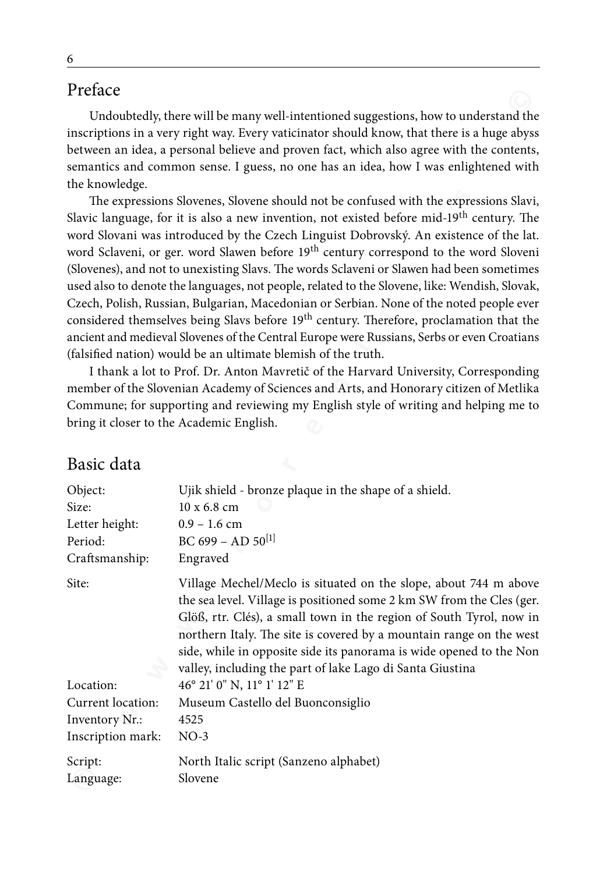## Preface

### Basic data

| Preface                                                                        |                                                                                                                                                                                                                                                                                                                                                                                                                                                                                                                                                                                                                                                                                                                                                                                                                                                                                                                                                                                                                                                                                                                                                                                                                                 |
|--------------------------------------------------------------------------------|---------------------------------------------------------------------------------------------------------------------------------------------------------------------------------------------------------------------------------------------------------------------------------------------------------------------------------------------------------------------------------------------------------------------------------------------------------------------------------------------------------------------------------------------------------------------------------------------------------------------------------------------------------------------------------------------------------------------------------------------------------------------------------------------------------------------------------------------------------------------------------------------------------------------------------------------------------------------------------------------------------------------------------------------------------------------------------------------------------------------------------------------------------------------------------------------------------------------------------|
| the knowledge.                                                                 | Undoubtedly, there will be many well-intentioned suggestions, how to understand the<br>inscriptions in a very right way. Every vaticinator should know, that there is a huge abyss<br>between an idea, a personal believe and proven fact, which also agree with the contents,<br>semantics and common sense. I guess, no one has an idea, how I was enlightened with                                                                                                                                                                                                                                                                                                                                                                                                                                                                                                                                                                                                                                                                                                                                                                                                                                                           |
|                                                                                | The expressions Slovenes, Slovene should not be confused with the expressions Slavi,<br>Slavic language, for it is also a new invention, not existed before mid-19 <sup>th</sup> century. The<br>word Slovani was introduced by the Czech Linguist Dobrovský. An existence of the lat.<br>word Sclaveni, or ger. word Slawen before 19 <sup>th</sup> century correspond to the word Sloveni<br>(Slovenes), and not to unexisting Slavs. The words Sclaveni or Slawen had been sometimes<br>used also to denote the languages, not people, related to the Slovene, like: Wendish, Slovak,<br>Czech, Polish, Russian, Bulgarian, Macedonian or Serbian. None of the noted people ever<br>considered themselves being Slavs before 19 <sup>th</sup> century. Therefore, proclamation that the<br>ancient and medieval Slovenes of the Central Europe were Russians, Serbs or even Croatians<br>(falsified nation) would be an ultimate blemish of the truth.<br>I thank a lot to Prof. Dr. Anton Mavretič of the Harvard University, Corresponding<br>member of the Slovenian Academy of Sciences and Arts, and Honorary citizen of Metlika<br>Commune; for supporting and reviewing my English style of writing and helping me to |
| bring it closer to the Academic English.                                       |                                                                                                                                                                                                                                                                                                                                                                                                                                                                                                                                                                                                                                                                                                                                                                                                                                                                                                                                                                                                                                                                                                                                                                                                                                 |
| Basic data                                                                     |                                                                                                                                                                                                                                                                                                                                                                                                                                                                                                                                                                                                                                                                                                                                                                                                                                                                                                                                                                                                                                                                                                                                                                                                                                 |
| Object:<br>Size:<br>Letter height:<br>Period:<br>Craftsmanship:                | Ujik shield - bronze plaque in the shape of a shield.<br>10 x 6.8 cm<br>$0.9 - 1.6$ cm<br>BC 699 - AD $50^{[1]}$<br>Engraved                                                                                                                                                                                                                                                                                                                                                                                                                                                                                                                                                                                                                                                                                                                                                                                                                                                                                                                                                                                                                                                                                                    |
| Site:<br>Location:<br>Current location:<br>Inventory Nr.:<br>Inscription mark: | Village Mechel/Meclo is situated on the slope, about 744 m above<br>the sea level. Village is positioned some 2 km SW from the Cles (ger.<br>Glöß, rtr. Clés), a small town in the region of South Tyrol, now in<br>northern Italy. The site is covered by a mountain range on the west<br>side, while in opposite side its panorama is wide opened to the Non<br>valley, including the part of lake Lago di Santa Giustina<br>46° 21' 0" N, 11° 1' 12" E<br>Museum Castello del Buonconsiglio<br>4525<br>$NO-3$                                                                                                                                                                                                                                                                                                                                                                                                                                                                                                                                                                                                                                                                                                                |
| Script:<br>Language:                                                           | North Italic script (Sanzeno alphabet)                                                                                                                                                                                                                                                                                                                                                                                                                                                                                                                                                                                                                                                                                                                                                                                                                                                                                                                                                                                                                                                                                                                                                                                          |
|                                                                                | Slovene                                                                                                                                                                                                                                                                                                                                                                                                                                                                                                                                                                                                                                                                                                                                                                                                                                                                                                                                                                                                                                                                                                                                                                                                                         |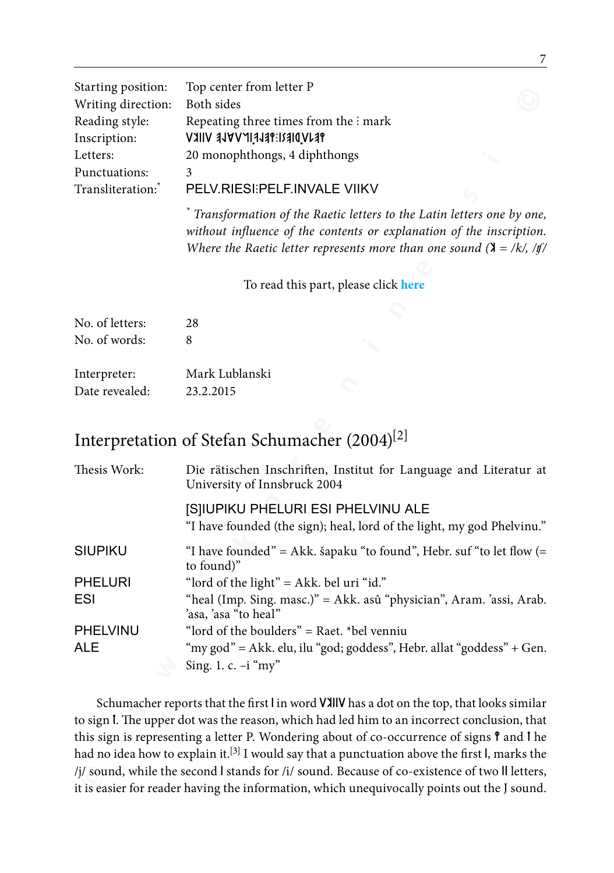| Starting position:            | Top center from letter P              |
|-------------------------------|---------------------------------------|
| Writing direction:            | Both sides                            |
| Reading style:                | Repeating three times from the : mark |
| Inscription:                  | <b>PEJVDIEZI: PELFIMVVLE VIIKV</b>    |
| Letters:                      | 20 monophthongs, 4 diphthongs         |
| Punctuations:                 | 3                                     |
| Transliteration: <sup>*</sup> | PELV.RIESI:PELF.INVALE VIIKV          |

| No. of letters: | 28             |
|-----------------|----------------|
| No. of words:   | 8              |
| Interpreter:    | Mark Lublanski |
| Date revealed:  | 23.2.2015      |

## Interpretation of Stefan Schumacher (2004)<sup>[2]</sup>

| starting position:<br>Writing direction: | Top cemer from letter P<br>Both sides                                                                                                                                                                                                       |
|------------------------------------------|---------------------------------------------------------------------------------------------------------------------------------------------------------------------------------------------------------------------------------------------|
| Reading style:                           | Repeating three times from the : mark                                                                                                                                                                                                       |
| Inscription:                             | <b>PEJVDIEZI: PELFILVVUE VIIKV</b>                                                                                                                                                                                                          |
| Letters:                                 | 20 monophthongs, 4 diphthongs                                                                                                                                                                                                               |
| Punctuations:                            | 3                                                                                                                                                                                                                                           |
| Transliteration:                         | PELV.RIESI:PELF.INVALE VIIKV                                                                                                                                                                                                                |
|                                          | $^\ast$ Transformation of the Raetic letters to the Latin letters one by one,<br>without influence of the contents or explanation of the inscription.<br>Where the Raetic letter represents more than one sound $(\lambda = /k / \sqrt{t})$ |
|                                          | To read this part, please click here                                                                                                                                                                                                        |
|                                          |                                                                                                                                                                                                                                             |
| No. of letters:                          | 28                                                                                                                                                                                                                                          |
| No. of words:                            | 8                                                                                                                                                                                                                                           |
| Interpreter:                             | Mark Lublanski                                                                                                                                                                                                                              |
| Date revealed:                           | 23.2.2015                                                                                                                                                                                                                                   |
|                                          |                                                                                                                                                                                                                                             |
|                                          | Interpretation of Stefan Schumacher (2004) <sup>[2]</sup>                                                                                                                                                                                   |
| Thesis Work:                             | Die rätischen Inschriften, Institut for Language and Literatur at<br>University of Innsbruck 2004                                                                                                                                           |
|                                          | [S]IUPIKU PHELURI ESI PHELVINU ALE                                                                                                                                                                                                          |
|                                          | "I have founded (the sign); heal, lord of the light, my god Phelvinu."                                                                                                                                                                      |
| <b>SIUPIKU</b>                           | "I have founded" = Akk. šapaku "to found", Hebr. suf "to let flow (=<br>to found)"                                                                                                                                                          |
| <b>PHELURI</b>                           | "lord of the light" = Akk. bel uri "id."                                                                                                                                                                                                    |
| ESI                                      | "heal (Imp. Sing. masc.)" = Akk. asû "physician", Aram. 'assi, Arab.<br>'asa, 'asa "to heal"                                                                                                                                                |
| PHELVINU                                 | "lord of the boulders" = Raet. *bel venniu                                                                                                                                                                                                  |
| <b>ALE</b>                               | "my god" = Akk. elu, ilu "god; goddess", Hebr. allat "goddess" + Gen.<br>Sing. 1. c. $-i$ "my"                                                                                                                                              |
|                                          | Schumacher reports that the first I in word VIIIV has a dot on the top, that looks similar                                                                                                                                                  |
|                                          | to sign I. The upper dot was the reason, which had led him to an incorrect conclusion, that                                                                                                                                                 |
|                                          | this sign is representing a letter P. Wondering about of co-occurrence of signs $\hat{\mathbf{r}}$ and I he                                                                                                                                 |
|                                          | had no idea how to explain it. <sup>[3]</sup> I would say that a punctuation above the first l, marks the                                                                                                                                   |
|                                          | /j/ sound, while the second I stands for /i/ sound. Because of co-existence of two II letters,                                                                                                                                              |
|                                          | it is easier for reader having the information, which unequivocally points out the J sound.                                                                                                                                                 |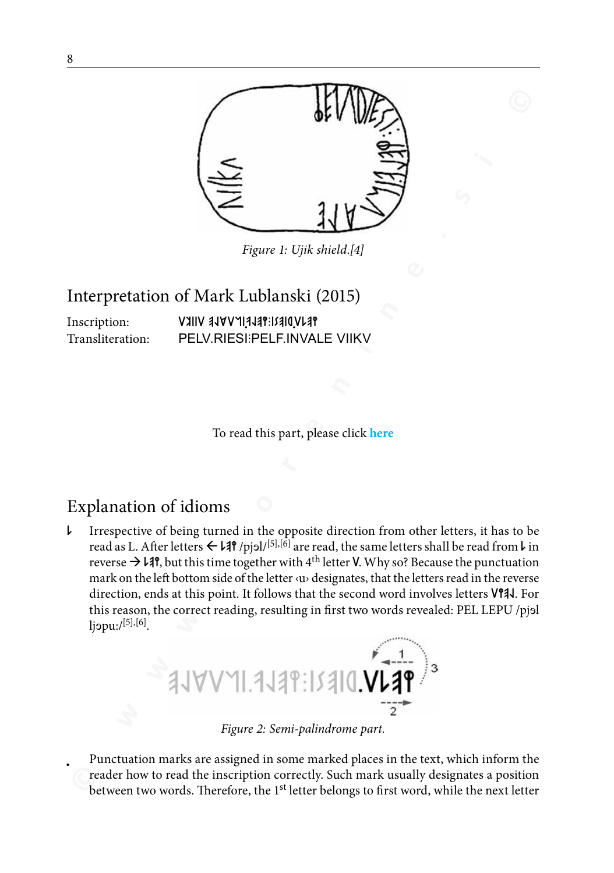

*Figure 1: Ujik shield.[4]*

## Interpretation of Mark Lublanski (2015)

Inscription: VXIIV 4JVVYI4J419:15410.<br>Transliteration: PELV RIESI:PELE INVAL PELV.RIESI: PELE INVALE VIIKV

To read this part, please click **[here](
https://promin.si/trgovina/index.php?main_page=product_info&products_id=25)**

## Explanation of idioms

**Explained in the opposite direction from other tetres; since the state of the state of the state of the state of the state of the state of the state of the state of the state of the state of the state of the state of the** Irrespective of being turned in the opposite direction from other letters, it has to be read as L. After letters  $\leftarrow$  149 /pjɔl/<sup>[5],[6]</sup> are read, the same letters shall be read from l in reverse  $\rightarrow$  14°, but this time together with 4<sup>th</sup> letter V. Why so? Because the punctuation mark on the left bottom side of the letter ‹u› designates, that the letters read in the reverse direction, ends at this point. It follows that the second word involves letters VI4J. For this reason, the correct reading, resulting in first two words revealed: PEL LEPU /pjol  $lipu:/[5],[6]$ .





. Punctuation marks are assigned in some marked places in the text, which inform the reader how to read the inscription correctly. Such mark usually designates a position between two words. Therefore, the 1<sup>st</sup> letter belongs to first word, while the next letter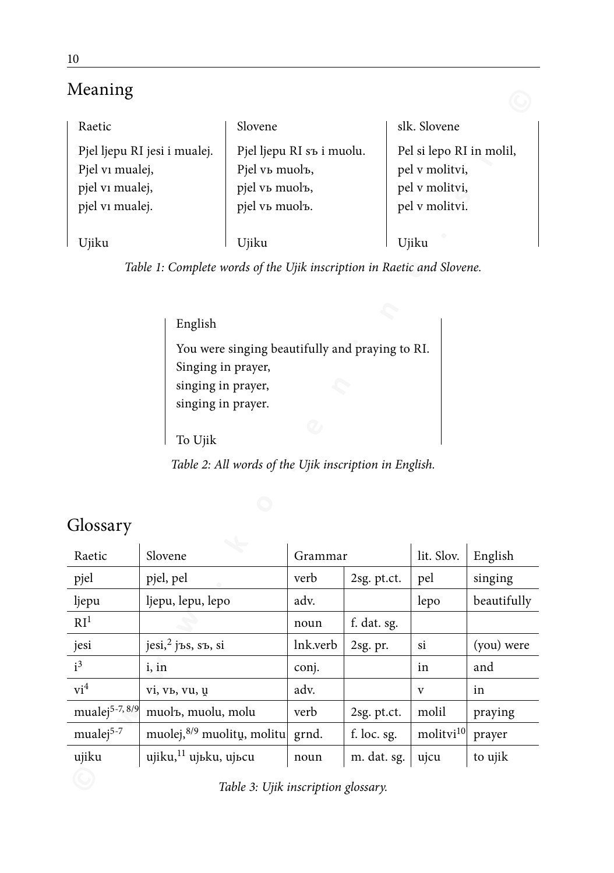## Meaning

| Raetic                                                                                | Slovene                                                                         | slk. Slovene                                                                   |
|---------------------------------------------------------------------------------------|---------------------------------------------------------------------------------|--------------------------------------------------------------------------------|
| Pjel ljepu RI jesi i mualej.<br>Pjel vi mualej,<br>pjel vi mualej,<br>pjel vi mualej. | Pjel ljepu RI sъ i muolu.<br>Pjel vь muolъ,<br>pjel vь muolъ,<br>pjel vь muolъ. | Pel si lepo RI in molil,<br>pel v molitvi,<br>pel v molitvi,<br>pel v molitvi. |
| Ujiku                                                                                 | Ujiku                                                                           | Ujiku                                                                          |

*Table 1: Complete words of the Ujik inscription in Raetic and Slovene.*

| English                                         |  |
|-------------------------------------------------|--|
| You were singing beautifully and praying to RI. |  |
| Singing in prayer,                              |  |
| singing in prayer,                              |  |
| singing in prayer.                              |  |
|                                                 |  |
| To Ujik                                         |  |
|                                                 |  |

| meaning                                                                                                                                                                                                       |                                     |                                                    |                           |             |                                                                                |             |  |
|---------------------------------------------------------------------------------------------------------------------------------------------------------------------------------------------------------------|-------------------------------------|----------------------------------------------------|---------------------------|-------------|--------------------------------------------------------------------------------|-------------|--|
| Raetic                                                                                                                                                                                                        |                                     | Slovene                                            |                           |             | slk. Slovene                                                                   |             |  |
| Pjel ljepu RI jesi i mualej.<br>Pjel v1 mualej,<br>pjel vi mualej,<br>pjel vi mualej.                                                                                                                         |                                     | Pjel vь muolъ,<br>pjel vь muolъ,<br>pjel vь muolъ. | Pjel ljepu RI sъ i muolu. |             | Pel si lepo RI in molil,<br>pel v molitvi,<br>pel v molitvi,<br>pel v molitvi. |             |  |
| Ujiku                                                                                                                                                                                                         |                                     | Ujiku                                              |                           |             | Ujiku                                                                          |             |  |
| Table 1: Complete words of the Ujik inscription in Raetic and Slovene.                                                                                                                                        |                                     |                                                    |                           |             |                                                                                |             |  |
| English<br>You were singing beautifully and praying to RI.<br>Singing in prayer,<br>singing in prayer,<br>singing in prayer.<br>To Ujik<br>Table 2: All words of the Ujik inscription in English.<br>Glossary |                                     |                                                    |                           |             |                                                                                |             |  |
| Raetic                                                                                                                                                                                                        | Slovene                             |                                                    | Grammar                   |             | lit. Slov.                                                                     | English     |  |
| pjel                                                                                                                                                                                                          | pjel, pel                           |                                                    | verb                      | 2sg. pt.ct. | pel                                                                            | singing     |  |
| ljepu                                                                                                                                                                                                         | ljepu, lepu, lepo                   |                                                    | adv.                      |             | lepo                                                                           | beautifully |  |
| RI <sup>1</sup>                                                                                                                                                                                               |                                     |                                                    | noun                      | f. dat. sg. |                                                                                |             |  |
| jesi                                                                                                                                                                                                          | $jesi2 jbs, sb, si$                 |                                                    | lnk.verb                  | 2sg. pr.    | si                                                                             | (you) were  |  |
| $i^3$                                                                                                                                                                                                         | i, in                               |                                                    | conj.                     |             | in                                                                             | and         |  |
| vi <sup>4</sup>                                                                                                                                                                                               | vi, vь, vu, µ                       |                                                    | adv.                      |             | $\mathbf{V}$                                                                   | in          |  |
| mualej <sup>5-7,8/9</sup>                                                                                                                                                                                     | muolъ, muolu, molu                  |                                                    | verb                      | 2sg. pt.ct. | molil                                                                          | praying     |  |
| mualej <sup>5-7</sup>                                                                                                                                                                                         | muolej, 8/9 muolitų, molitu         |                                                    | grnd.                     | f. loc. sg. | molitvi <sup>10</sup>                                                          | prayer      |  |
| ujiku                                                                                                                                                                                                         | ujiku, <sup>11</sup> ujьku, ujьcu   |                                                    | noun                      | m. dat. sg. | ujcu                                                                           | to ujik     |  |
|                                                                                                                                                                                                               | Table 3: Ujik inscription glossary. |                                                    |                           |             |                                                                                |             |  |

## Glossary

*Table 3: Ujik inscription glossary.*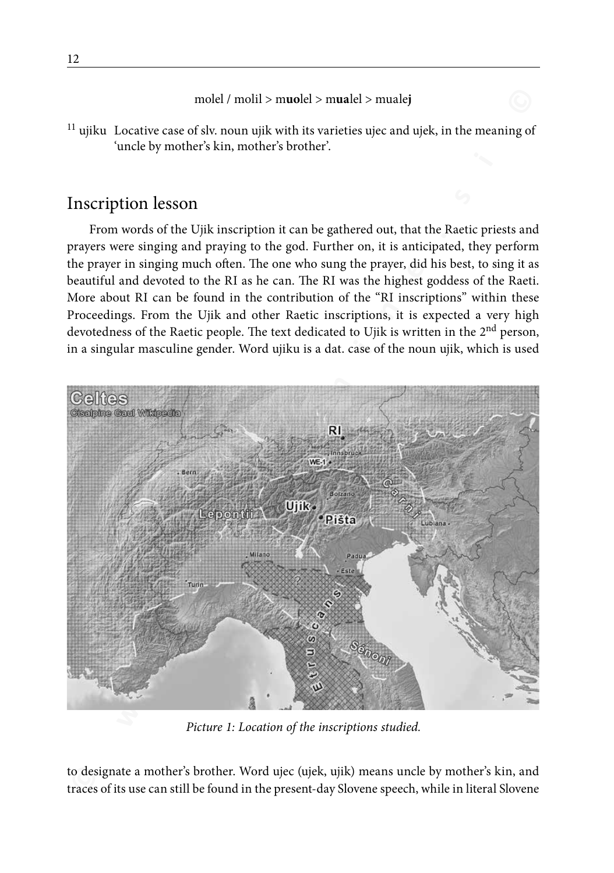molel / molil > m**uo**lel > m**ua**lel > muale**j**

 $11$  ujiku Locative case of slv. noun ujik with its varieties ujec and ujek, in the meaning of 'uncle by mother's kin, mother's brother'.

### Inscription lesson

From words of the Ujik inscription it can be gathered out, that the Raetic priests and prayers were singing and praying to the god. Further on, it is anticipated, they perform the prayer in singing much often. The one who sung the prayer, did his best, to sing it as beautiful and devoted to the RI as he can. The RI was the highest goddess of the Raeti. More about RI can be found in the contribution of the "RI inscriptions" within these Proceedings. From the Ujik and other Raetic inscriptions, it is expected a very high devotedness of the Raetic people. The text dedicated to Ujik is written in the 2<sup>nd</sup> person, in a singular masculine gender. Word ujiku is a dat. case of the noun ujik, which is used



*Picture 1: Location of the inscriptions studied.*

to designate a mother's brother. Word ujec (ujek, ujik) means uncle by mother's kin, and traces of its use can still be found in the present-day Slovene speech, while in literal Slovene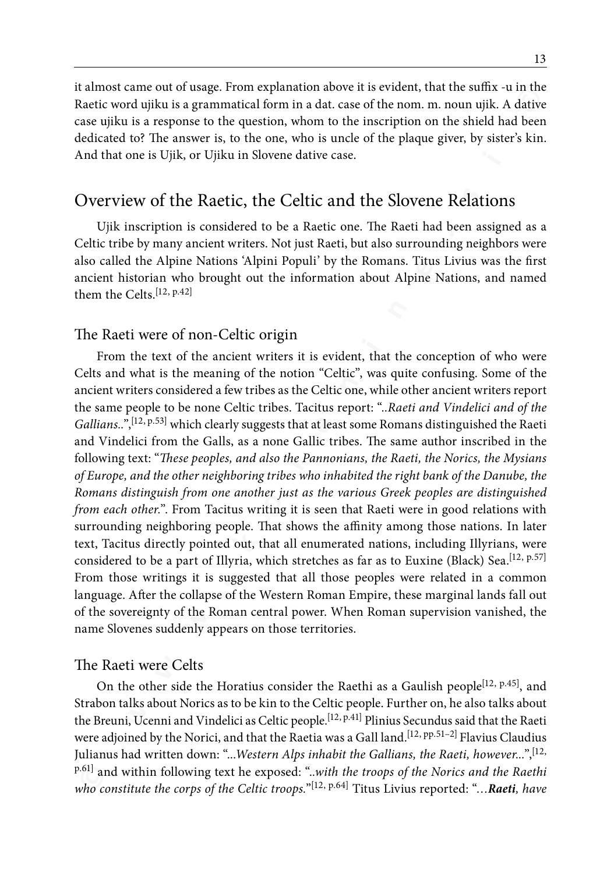it almost came out of usage. From explanation above it is evident, that the suffix -u in the Raetic word ujiku is a grammatical form in a dat. case of the nom. m. noun ujik. A dative case ujiku is a response to the question, whom to the inscription on the shield had been dedicated to? The answer is, to the one, who is uncle of the plaque giver, by sister's kin. And that one is Ujik, or Ujiku in Slovene dative case.

### Overview of the Raetic, the Celtic and the Slovene Relations

Ujik inscription is considered to be a Raetic one. The Raeti had been assigned as a Celtic tribe by many ancient writers. Not just Raeti, but also surrounding neighbors were also called the Alpine Nations 'Alpini Populi' by the Romans. Titus Livius was the first ancient historian who brought out the information about Alpine Nations, and named them the Celts.<sup>[12, p.42]</sup>

#### The Raeti were of non-Celtic origin

**E** and the out the sect of the selection of the particle and the selection of the selective word by the interpret of the selection of the selection of the selection of the selection of the selection of the selection of th From the text of the ancient writers it is evident, that the conception of who were Celts and what is the meaning of the notion "Celtic", was quite confusing. Some of the ancient writers considered a few tribes as the Celtic one, while other ancient writers report the same people to be none Celtic tribes. Tacitus report: "*..Raeti and Vindelici and of the Gallians..*",[12, p.53] which clearly suggests that at least some Romans distinguished the Raeti and Vindelici from the Galls, as a none Gallic tribes. The same author inscribed in the following text: "*These peoples, and also the Pannonians, the Raeti, the Norics, the Mysians of Europe, and the other neighboring tribes who inhabited the right bank of the Danube, the Romans distinguish from one another just as the various Greek peoples are distinguished from each other.*". From Tacitus writing it is seen that Raeti were in good relations with surrounding neighboring people. That shows the affinity among those nations. In later text, Tacitus directly pointed out, that all enumerated nations, including Illyrians, were considered to be a part of Illyria, which stretches as far as to Euxine (Black) Sea.<sup>[12, p.57]</sup> From those writings it is suggested that all those peoples were related in a common language. After the collapse of the Western Roman Empire, these marginal lands fall out of the sovereignty of the Roman central power. When Roman supervision vanished, the name Slovenes suddenly appears on those territories.

#### The Raeti were Celts

On the other side the Horatius consider the Raethi as a Gaulish people<sup>[12, p.45]</sup>, and Strabon talks about Norics as to be kin to the Celtic people. Further on, he also talks about the Breuni, Ucenni and Vindelici as Celtic people.[12, p.41] Plinius Secundus said that the Raeti were adjoined by the Norici, and that the Raetia was a Gall land.<sup>[12, pp.51-2]</sup> Flavius Claudius Julianus had written down: "*...Western Alps inhabit the Gallians, the Raeti, however...*",[12, p.61] and within following text he exposed: "*..with the troops of the Norics and the Raethi who constitute the corps of the Celtic troops.*"[12, p.64] Titus Livius reported: "*…Raeti, have*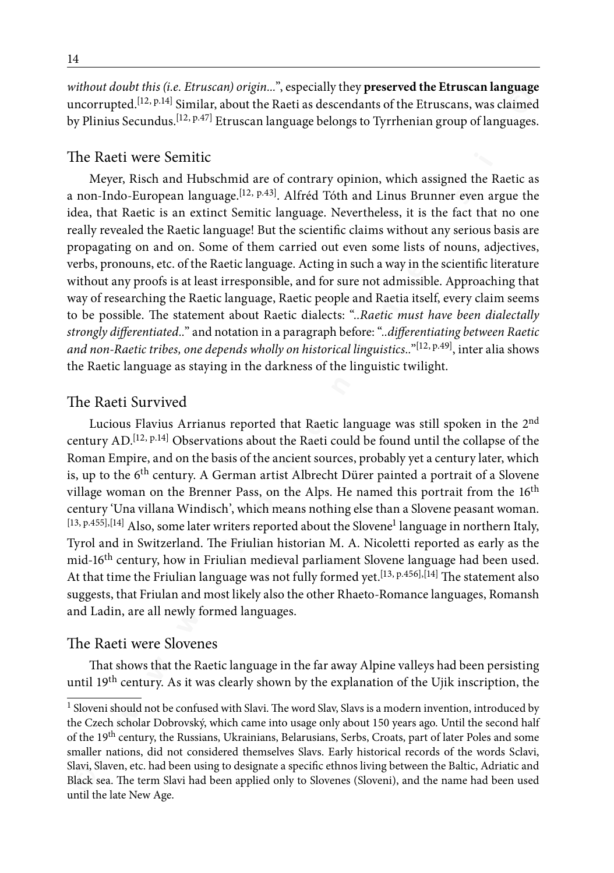*without doubt this (i.e. Etruscan) origin...*", especially they **preserved the Etruscan language** uncorrupted.<sup>[12, p.14]</sup> Similar, about the Raeti as descendants of the Etruscans, was claimed by Plinius Secundus.<sup>[12, p.47]</sup> Etruscan language belongs to Tyrrhenian group of languages.

#### The Raeti were Semitic

Meyer, Risch and Hubschmid are of contrary opinion, which assigned the Raetic as a non-Indo-European language.<sup>[12, p.43]</sup>. Alfréd Tóth and Linus Brunner even argue the idea, that Raetic is an extinct Semitic language. Nevertheless, it is the fact that no one really revealed the Raetic language! But the scientific claims without any serious basis are propagating on and on. Some of them carried out even some lists of nouns, adjectives, verbs, pronouns, etc. of the Raetic language. Acting in such a way in the scientific literature without any proofs is at least irresponsible, and for sure not admissible. Approaching that way of researching the Raetic language, Raetic people and Raetia itself, every claim seems to be possible. The statement about Raetic dialects: "*..Raetic must have been dialectally strongly differentiated..*" and notation in a paragraph before: "*..differentiating between Raetic and non-Raetic tribes, one depends wholly on historical linguistics..*"[12, p.49], inter alia shows the Raetic language as staying in the darkness of the linguistic twilight.

#### The Raeti Survived

**w** *w* and so is the 10-*k* is the state based on the state of the state of the state of the state of the state of the state of the state of the state of the state of the state of the state of the state of the Brit Lucious Flavius Arrianus reported that Raetic language was still spoken in the 2nd century AD.[12, p.14] Observations about the Raeti could be found until the collapse of the Roman Empire, and on the basis of the ancient sources, probably yet a century later, which is, up to the 6<sup>th</sup> century. A German artist Albrecht Dürer painted a portrait of a Slovene village woman on the Brenner Pass, on the Alps. He named this portrait from the 16<sup>th</sup> century 'Una villana Windisch', which means nothing else than a Slovene peasant woman. [13, p.455],[14] Also, some later writers reported about the Slovene<sup>1</sup> language in northern Italy, Tyrol and in Switzerland. The Friulian historian M. A. Nicoletti reported as early as the mid-16th century, how in Friulian medieval parliament Slovene language had been used. At that time the Friulian language was not fully formed yet.<sup>[13, p.456],[14]</sup> The statement also suggests, that Friulan and most likely also the other Rhaeto-Romance languages, Romansh and Ladin, are all newly formed languages.

#### The Raeti were Slovenes

That shows that the Raetic language in the far away Alpine valleys had been persisting until 19<sup>th</sup> century. As it was clearly shown by the explanation of the Ujik inscription, the

 $^{\rm 1}$  Sloveni should not be confused with Slavi. The word Slav, Slavs is a modern invention, introduced by the Czech scholar Dobrovský, which came into usage only about 150 years ago. Until the second half of the 19<sup>th</sup> century, the Russians, Ukrainians, Belarusians, Serbs, Croats, part of later Poles and some smaller nations, did not considered themselves Slavs. Early historical records of the words Sclavi, Slavi, Slaven, etc. had been using to designate a specific ethnos living between the Baltic, Adriatic and Black sea. The term Slavi had been applied only to Slovenes (Sloveni), and the name had been used until the late New Age.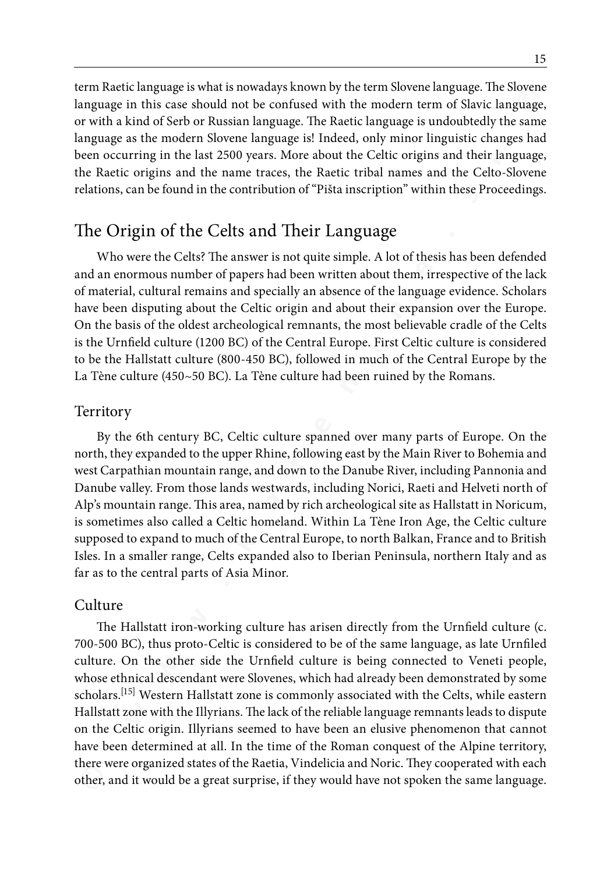term Raetic language is what is nowadays known by the term Slovene language. The Slovene language in this case should not be confused with the modern term of Slavic language, or with a kind of Serb or Russian language. The Raetic language is undoubtedly the same language as the modern Slovene language is! Indeed, only minor linguistic changes had been occurring in the last 2500 years. More about the Celtic origins and their language, the Raetic origins and the name traces, the Raetic tribal names and the Celto-Slovene relations, can be found in the contribution of "Pišta inscription" within these Proceedings.

### The Origin of the Celts and Their Language

Who were the Celts? The answer is not quite simple. A lot of thesis has been defended and an enormous number of papers had been written about them, irrespective of the lack of material, cultural remains and specially an absence of the language evidence. Scholars have been disputing about the Celtic origin and about their expansion over the Europe. On the basis of the oldest archeological remnants, the most believable cradle of the Celts is the Urnfield culture (1200 BC) of the Central Europe. First Celtic culture is considered to be the Hallstatt culture (800-450 BC), followed in much of the Central Europe by the La Tène culture (450~50 BC). La Tène culture had been ruined by the Romans.

#### Territory

By the 6th century BC, Celtic culture spanned over many parts of Europe. On the north, they expanded to the upper Rhine, following east by the Main River to Bohemia and west Carpathian mountain range, and down to the Danube River, including Pannonia and Danube valley. From those lands westwards, including Norici, Raeti and Helveti north of Alp's mountain range. This area, named by rich archeological site as Hallstatt in Noricum, is sometimes also called a Celtic homeland. Within La Tène Iron Age, the Celtic culture supposed to expand to much of the Central Europe, to north Balkan, France and to British Isles. In a smaller range, Celts expanded also to Iberian Peninsula, northern Italy and as far as to the central parts of Asia Minor.

#### Culture

**© w w w . k o r e n i n e . s i ©** The Hallstatt iron-working culture has arisen directly from the Urnfield culture (c. 700-500 BC), thus proto-Celtic is considered to be of the same language, as late Urnfiled culture. On the other side the Urnfield culture is being connected to Veneti people, whose ethnical descendant were Slovenes, which had already been demonstrated by some scholars.<sup>[15]</sup> Western Hallstatt zone is commonly associated with the Celts, while eastern Hallstatt zone with the Illyrians. The lack of the reliable language remnants leads to dispute on the Celtic origin. Illyrians seemed to have been an elusive phenomenon that cannot have been determined at all. In the time of the Roman conquest of the Alpine territory, there were organized states of the Raetia, Vindelicia and Noric. They cooperated with each other, and it would be a great surprise, if they would have not spoken the same language.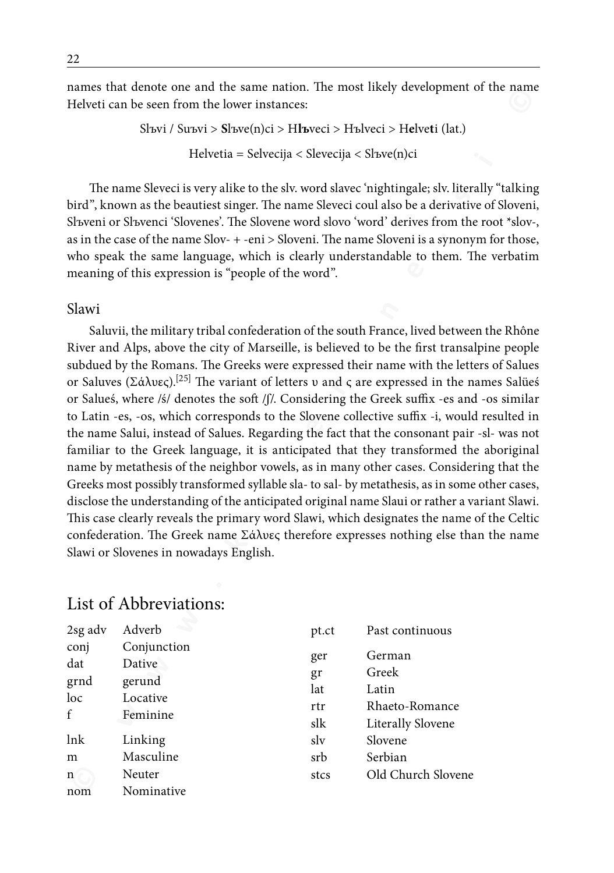names that denote one and the same nation. The most likely development of the name Helveti can be seen from the lower instances:

> Slъvi / Suъvi > **S**lъve(n)ci > H**lъ**veci > Hъlveci > H**e**lve**t**i (lat.) Helvetia = Selvecija < Slevecija < Slъve(n)ci

The name Sleveci is very alike to the slv. word slavec 'nightingale; slv. literally "talking bird", known as the beautiest singer. The name Sleveci coul also be a derivative of Sloveni, Slъveni or Slъvenci 'Slovenes'. The Slovene word slovo 'word' derives from the root \*slov-, as in the case of the name Slov- + -eni > Sloveni. The name Sloveni is a synonym for those, who speak the same language, which is clearly understandable to them. The verbatim meaning of this expression is "people of the word".

#### Slawi

**Example that the noire state that its same and the same and the same and the same of the same of the same of the same of the same of the same of the same of the same of the same of the same of the same of the same of the** Saluvii, the military tribal confederation of the south France, lived between the Rhône River and Alps, above the city of Marseille, is believed to be the first transalpine people subdued by the Romans. The Greeks were expressed their name with the letters of Salues or Saluves (Σάλυες).<sup>[25]</sup> The variant of letters v and ς are expressed in the names Salües or Salueś, where /ś/ denotes the soft /ʃ/. Considering the Greek suffix -es and -os similar to Latin -es, -os, which corresponds to the Slovene collective suffix -i, would resulted in the name Salui, instead of Salues. Regarding the fact that the consonant pair -sl- was not familiar to the Greek language, it is anticipated that they transformed the aboriginal name by metathesis of the neighbor vowels, as in many other cases. Considering that the Greeks most possibly transformed syllable sla- to sal- by metathesis, as in some other cases, disclose the understanding of the anticipated original name Slaui or rather a variant Slawi. This case clearly reveals the primary word Slawi, which designates the name of the Celtic confederation. The Greek name Σάλυες therefore expresses nothing else than the name Slawi or Slovenes in nowadays English.

### List of Abbreviations:

| 2sg adv                         | Adverb                                                  | pt.ct                          | Past continuous                                                 |
|---------------------------------|---------------------------------------------------------|--------------------------------|-----------------------------------------------------------------|
| conj<br>dat<br>grnd<br>loc<br>f | Conjunction<br>Dative<br>gerund<br>Locative<br>Feminine | ger<br>gr<br>lat<br>rtr<br>slk | German<br>Greek<br>Latin<br>Rhaeto-Romance<br>Literally Slovene |
| lnk<br>m<br>n<br>nom            | Linking<br>Masculine<br>Neuter<br>Nominative            | slv<br>srb<br>stcs             | Slovene<br>Serbian<br>Old Church Slovene                        |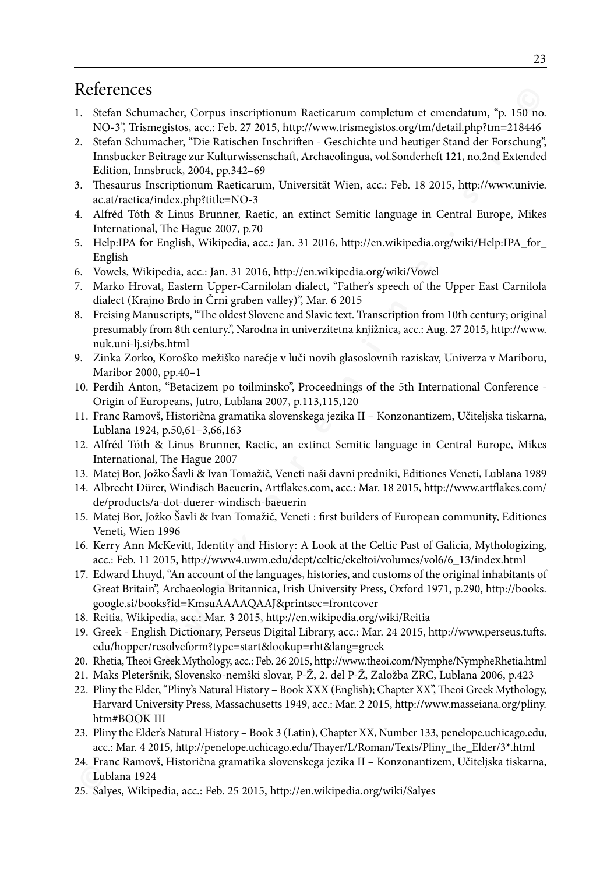## References

- 1. Stefan Schumacher, Corpus inscriptionum Raeticarum completum et emendatum, "p. 150 no. NO-3", Trismegistos, acc.: Feb. 27 2015, http://www.trismegistos.org/tm/detail.php?tm=218446
- 2. Stefan Schumacher, "Die Ratischen Inschriften Geschichte und heutiger Stand der Forschung", Innsbucker Beitrage zur Kulturwissenschaft, Archaeolingua, vol.Sonderheft 121, no.2nd Extended Edition, Innsbruck, 2004, pp.342–69
- 3. Thesaurus Inscriptionum Raeticarum, Universität Wien, acc.: Feb. 18 2015, http://www.univie. ac.at/raetica/index.php?title=NO-3
- 4. Alfréd Tóth & Linus Brunner, Raetic, an extinct Semitic language in Central Europe, Mikes International, The Hague 2007, p.70
- 5. Help:IPA for English, Wikipedia, acc.: Jan. 31 2016, http://en.wikipedia.org/wiki/Help:IPA\_for\_ English
- 6. Vowels, Wikipedia, acc.: Jan. 31 2016, http://en.wikipedia.org/wiki/Vowel
- 7. Marko Hrovat, Eastern Upper-Carnilolan dialect, "Father's speech of the Upper East Carnilola dialect (Krajno Brdo in Črni graben valley)", Mar. 6 2015
- 8. Freising Manuscripts, "The oldest Slovene and Slavic text. Transcription from 10th century; original presumably from 8th century.", Narodna in univerzitetna knjižnica, acc.: Aug. 27 2015, http://www. nuk.uni-lj.si/bs.html
- 9. Zinka Zorko, Koroško mežiško narečje v luči novih glasoslovnih raziskav, Univerza v Mariboru, Maribor 2000, pp.40–1
- 10. Perdih Anton, "Betacizem po toilminsko", Proceednings of the 5th International Conference Origin of Europeans, Jutro, Lublana 2007, p.113,115,120
- 11. Franc Ramovš, Historična gramatika slovenskega jezika II Konzonantizem, Učiteljska tiskarna, Lublana 1924, p.50,61–3,66,163
- 12. Alfréd Tóth & Linus Brunner, Raetic, an extinct Semitic language in Central Europe, Mikes International, The Hague 2007
- 13. Matej Bor, Jožko Šavli & Ivan Tomažič, Veneti naši davni predniki, Editiones Veneti, Lublana 1989
- 14. Albrecht Dürer, Windisch Baeuerin, Artflakes.com, acc.: Mar. 18 2015, http://www.artflakes.com/ de/products/a-dot-duerer-windisch-baeuerin
- 15. Matej Bor, Jožko Šavli & Ivan Tomažič, Veneti : first builders of European community, Editiones Veneti, Wien 1996
- 16. Kerry Ann McKevitt, Identity and History: A Look at the Celtic Past of Galicia, Mythologizing, acc.: Feb. 11 2015, http://www4.uwm.edu/dept/celtic/ekeltoi/volumes/vol6/6\_13/index.html
- **EXERCICS (CEPICACS)** Religions and the stratume completum et emendation, "p. 180 new No-3", Tristingston, acc.: For 22 22 015, http://www.timingtisting.org/im/dcail-pole-mail and the stratume of the stratume included in t 17. Edward Lhuyd, "An account of the languages, histories, and customs of the original inhabitants of Great Britain", Archaeologia Britannica, Irish University Press, Oxford 1971, p.290, http://books. google.si/books?id=KmsuAAAAQAAJ&printsec=frontcover
- 18. Reitia, Wikipedia, acc.: Mar. 3 2015, http://en.wikipedia.org/wiki/Reitia
- 19. Greek English Dictionary, Perseus Digital Library, acc.: Mar. 24 2015, http://www.perseus.tufts. edu/hopper/resolveform?type=start&lookup=rht&lang=greek
- 20. Rhetia, Theoi Greek Mythology, acc.: Feb. 26 2015, http://www.theoi.com/Nymphe/NympheRhetia.html
- 21. Maks Pleteršnik, Slovensko-nemški slovar, P-Ž, 2. del P-Ž, Založba ZRC, Lublana 2006, p.423
- 22. Pliny the Elder, "Pliny's Natural History Book XXX (English); Chapter XX", Theoi Greek Mythology, Harvard University Press, Massachusetts 1949, acc.: Mar. 2 2015, http://www.masseiana.org/pliny. htm#BOOK III
- 23. Pliny the Elder's Natural History Book 3 (Latin), Chapter XX, Number 133, penelope.uchicago.edu, acc.: Mar. 4 2015, http://penelope.uchicago.edu/Thayer/L/Roman/Texts/Pliny\_the\_Elder/3\*.html
- 24. Franc Ramovš, Historična gramatika slovenskega jezika II Konzonantizem, Učiteljska tiskarna, Lublana 1924
- 25. Salyes, Wikipedia, acc.: Feb. 25 2015, http://en.wikipedia.org/wiki/Salyes